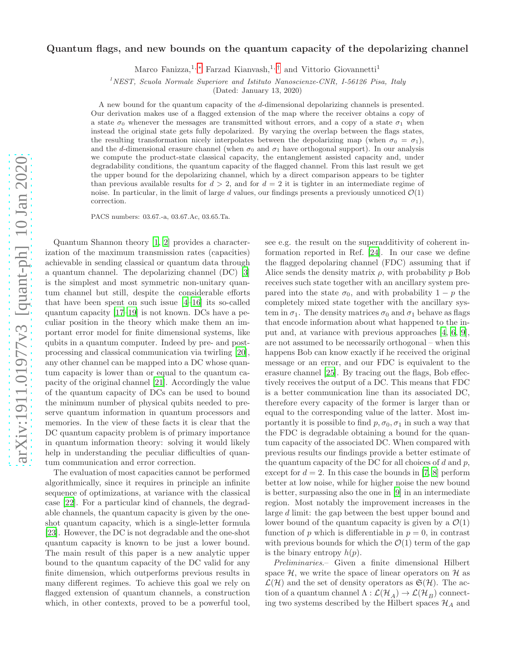# Quantum flags, and new bounds on the quantum capacity of the depolarizing channel

Marco Fanizza,<sup>1, [∗](#page-3-0)</sup> Farzad Kianvash,<sup>1,[†](#page-3-1)</sup> and Vittorio Giovannetti<sup>1</sup>

<sup>1</sup>*NEST, Scuola Normale Superiore and Istituto Nanoscienze-CNR, I-56126 Pisa, Italy*

(Dated: January 13, 2020)

A new bound for the quantum capacity of the d-dimensional depolarizing channels is presented. Our derivation makes use of a flagged extension of the map where the receiver obtains a copy of a state  $\sigma_0$  whenever the messages are transmitted without errors, and a copy of a state  $\sigma_1$  when instead the original state gets fully depolarized. By varying the overlap between the flags states, the resulting transformation nicely interpolates between the depolarizing map (when  $\sigma_0 = \sigma_1$ ), and the d-dimensional erasure channel (when  $\sigma_0$  and  $\sigma_1$  have orthogonal support). In our analysis we compute the product-state classical capacity, the entanglement assisted capacity and, under degradability conditions, the quantum capacity of the flagged channel. From this last result we get the upper bound for the depolarizing channel, which by a direct comparison appears to be tighter than previous available results for  $d > 2$ , and for  $d = 2$  it is tighter in an intermediate regime of noise. In particular, in the limit of large d values, our findings presents a previously unnoticed  $\mathcal{O}(1)$ correction.

PACS numbers: 03.67.-a, 03.67.Ac, 03.65.Ta.

Quantum Shannon theory [1, 2] provides a characterization of the maximum transmission rates (capacities) achievable in sending classical or quantum data through a quantum channel. The depolarizing channel (DC) [\[3](#page-3-2)] is the simplest and most symmetric non-unitary quantum channel but still, despite the considerable efforts that have been spent on such issue [4[–16\]](#page-4-0) its so-called quantum capacity [\[17](#page-4-1)–19] is not known. DCs have a peculiar position in the theory which make them an important error model for finite dimensional systems, like qubits in a quantum computer. Indeed by pre- and postprocessing and classical communication via twirling [20], any other channel can be mapped into a DC whose quantum capacity is lower than or equal to the quantum capacity of the original channel [\[21](#page-4-2)]. Accordingly the value of the quantum capacity of DCs can be used to bound the minimum number of physical qubits needed to preserve quantum information in quantum processors and memories. In the view of these facts it is clear that the DC quantum capacity problem is of primary importance in quantum information theory: solving it would likely help in understanding the peculiar difficulties of quantum communication and error correction.

The evaluation of most capacities cannot be performed algorithmically, since it requires in principle an infinite sequence of optimizations, at variance with the classical case [\[22](#page-4-3)]. For a particular kind of channels, the degradable channels, the quantum capacity is given by the oneshot quantum capacity, which is a single-letter formula [\[23\]](#page-4-4). However, the DC is not degradable and the one-shot quantum capacity is known to be just a lower bound. The main result of this paper is a new analytic upper bound to the quantum capacity of the DC valid for any finite dimension, which outperforms previous results in many different regimes. To achieve this goal we rely on flagged extension of quantum channels, a construction which, in other contexts, proved to be a powerful tool,

see e.g. the result on the superadditivity of coherent information reported in Ref. [\[24\]](#page-4-5). In our case we define the flagged depolaring channel (FDC) assuming that if Alice sends the density matrix  $\rho$ , with probability p Bob receives such state together with an ancillary system prepared into the state  $\sigma_0$ , and with probability  $1 - p$  the completely mixed state together with the ancillary system in  $\sigma_1$ . The density matrices  $\sigma_0$  and  $\sigma_1$  behave as flags that encode information about what happened to the input and, at variance with previous approaches [4, 6, [9\]](#page-4-6), are not assumed to be necessarily orthogonal – when this happens Bob can know exactly if he received the original message or an error, and our FDC is equivalent to the erasure channel [25]. By tracing out the flags, Bob effectively receives the output of a DC. This means that FDC is a better communication line than its associated DC, therefore every capacity of the former is larger than or equal to the corresponding value of the latter. Most importantly it is possible to find  $p, \sigma_0, \sigma_1$  in such a way that the FDC is degradable obtaining a bound for the quantum capacity of the associated DC. When compared with previous results our findings provide a better estimate of the quantum capacity of the DC for all choices of  $d$  and  $p$ , except for  $d = 2$ . In this case the bounds in [7, [8](#page-4-7)] perform better at low noise, while for higher noise the new bound is better, surpassing also the one in [\[9\]](#page-4-6) in an intermediate region. Most notably the improvement increases in the large d limit: the gap between the best upper bound and lower bound of the quantum capacity is given by a  $\mathcal{O}(1)$ function of p which is differentiable in  $p = 0$ , in contrast with previous bounds for which the  $\mathcal{O}(1)$  term of the gap is the binary entropy  $h(p)$ .

Preliminaries.– Given a finite dimensional Hilbert space  $H$ , we write the space of linear operators on  $H$  as  $\mathcal{L}(\mathcal{H})$  and the set of density operators as  $\mathfrak{S}(\mathcal{H})$ . The action of a quantum channel  $\Lambda: \mathcal{L}(\mathcal{H}_A) \to \mathcal{L}(\mathcal{H}_B)$  connecting two systems described by the Hilbert spaces  $\mathcal{H}_A$  and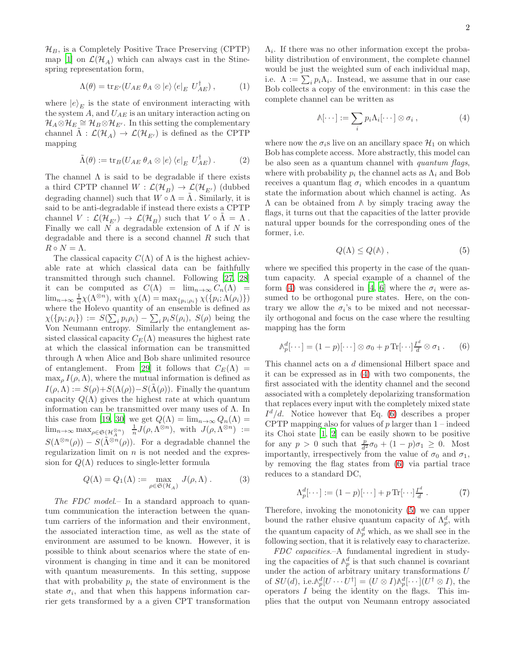$\mathcal{H}_B$ , is a Completely Positive Trace Preserving (CPTP) map [1] on  $\mathcal{L}(\mathcal{H}_A)$  which can always cast in the Stinespring representation form,

<span id="page-1-3"></span>
$$
\Lambda(\theta) = \operatorname{tr}_{E'}(U_{AE} \theta_A \otimes |e\rangle \langle e|_E U_{AE}^{\dagger}), \qquad (1)
$$

where  $|e\rangle_E$  is the state of environment interacting with the system  $A$ , and  $U_{AE}$  is an unitary interaction acting on  $\mathcal{H}_A\otimes\mathcal{H}_E\cong\mathcal{H}_B\otimes\mathcal{H}_{E'}$ . In this setting the complementary channel  $\tilde{\Lambda}: \mathcal{L}(\mathcal{H}_A) \to \mathcal{L}(\mathcal{H}_{E'})$  is defined as the CPTP mapping

<span id="page-1-4"></span>
$$
\tilde{\Lambda}(\theta) := \text{tr}_B(U_{AE} \, \theta_A \otimes |e\rangle \langle e|_E \, U_{AE}^{\dagger}). \tag{2}
$$

The channel  $\Lambda$  is said to be degradable if there exists a third CPTP channel  $W : \mathcal{L}(\mathcal{H}_B) \to \mathcal{L}(\mathcal{H}_{E'})$  (dubbed degrading channel) such that  $W \circ \Lambda = \tilde{\Lambda}$ . Similarly, it is said to be anti-degradable if instead there exists a CPTP channel  $V : \mathcal{L}(\mathcal{H}_{E'}) \to \mathcal{L}(\mathcal{H}_B)$  such that  $V \circ \tilde{\Lambda} = \Lambda$ . Finally we call N a degradable extension of  $\Lambda$  if N is degradable and there is a second channel  $R$  such that  $R \circ N = \Lambda.$ 

The classical capacity  $C(\Lambda)$  of  $\Lambda$  is the highest achievable rate at which classical data can be faithfully transmitted through such channel. Following [27, 28] it can be computed as  $C(\Lambda) = \lim_{n\to\infty} C_n(\Lambda) =$  $\lim_{n\to\infty}\frac{1}{n}\chi(\Lambda^{\otimes n})$ , with  $\chi(\Lambda) = \max_{\{p_i, \rho_i\}}\chi(\{p_i; \Lambda(\rho_i)\})$ where the Holevo quantity of an ensemble is defined as  $\chi(\{p_i; \rho_i\}) := S(\sum_i p_i \rho_i) - \sum_i p_i S(\rho_i), S(\rho)$  being the Von Neumann entropy. Similarly the entanglement assisted classical capacity  $C_E(\Lambda)$  measures the highest rate at which the classical information can be transmitted through  $\Lambda$  when Alice and Bob share unlimited resource of entanglement. From [29] it follows that  $C_E(\Lambda)$  =  $\max_{\rho} I(\rho,\Lambda)$ , where the mutual information is defined as  $I(\rho,\Lambda) := S(\rho) + S(\Lambda(\rho)) - S(\Lambda(\rho)).$  Finally the quantum capacity  $Q(\Lambda)$  gives the highest rate at which quantum information can be transmitted over many uses of  $\Lambda$ . In this case from [19, 30] we get  $Q(\Lambda) = \lim_{n \to \infty} Q_n(\Lambda) =$  $\lim_{n\to\infty} \max_{\rho \in \mathfrak{S}(\mathcal{H}_A^{\otimes n})} \frac{1}{n} J(\rho, \Lambda^{\otimes n}), \text{ with } J(\rho, \Lambda^{\otimes n}) :=$  $S(\Lambda^{\otimes n}(\rho)) - S(\tilde{\Lambda}^{\otimes n}(\rho))$ . For a degradable channel the regularization limit on  $n$  is not needed and the expression for  $Q(\Lambda)$  reduces to single-letter formula

$$
Q(\Lambda) = Q_1(\Lambda) := \max_{\rho \in \mathfrak{S}(\mathcal{H}_A)} J(\rho, \Lambda).
$$
 (3)

The FDC model. In a standard approach to quantum communication the interaction between the quantum carriers of the information and their environment, the associated interaction time, as well as the state of environment are assumed to be known. However, it is possible to think about scenarios where the state of environment is changing in time and it can be monitored with quantum measurements. In this setting, suppose that with probability  $p_i$  the state of environment is the state  $\sigma_i$ , and that when this happens information carrier gets transformed by a a given CPT transformation

 $\Lambda_i$ . If there was no other information except the probability distribution of environment, the complete channel would be just the weighted sum of each individual map, i.e.  $\Lambda := \sum_i p_i \Lambda_i$ . Instead, we assume that in our case Bob collects a copy of the environment: in this case the complete channel can be written as

<span id="page-1-0"></span>
$$
\mathbb{A}[\cdots] := \sum_{i} p_i \Lambda_i[\cdots] \otimes \sigma_i , \qquad (4)
$$

where now the  $\sigma_i$ s live on an ancillary space  $\mathcal{H}_1$  on which Bob has complete access. More abstractly, this model can be also seen as a quantum channel with quantum flags, where with probability  $p_i$  the channel acts as  $\Lambda_i$  and Bob receives a quantum flag  $\sigma_i$  which encodes in a quantum state the information about which channel is acting. As Λ can be obtained from **Λ** by simply tracing away the flags, it turns out that the capacities of the latter provide natural upper bounds for the corresponding ones of the former, i.e.

<span id="page-1-2"></span>
$$
Q(\Lambda) \le Q(\Lambda) \;, \tag{5}
$$

where we specified this property in the case of the quantum capacity. A special example of a channel of the form [\(4\)](#page-1-0) was considered in [4, 6] where the  $\sigma_i$  were assumed to be orthogonal pure states. Here, on the contrary we allow the  $\sigma_i$ 's to be mixed and not necessarily orthogonal and focus on the case where the resulting mapping has the form

<span id="page-1-1"></span>
$$
\mathbb{A}_p^d[\cdots] = (1-p)[\cdots] \otimes \sigma_0 + p \operatorname{Tr}[\cdots] \frac{I^d}{d} \otimes \sigma_1 . \qquad (6)
$$

This channel acts on a d dimensional Hilbert space and it can be expressed as in [\(4\)](#page-1-0) with two components, the first associated with the identity channel and the second associated with a completely depolarizing transformation that replaces every input with the completely mixed state  $I^d/d$ . Notice however that Eq. [\(6\)](#page-1-1) describes a proper CPTP mapping also for values of  $p$  larger than  $1$  – indeed its Choi state [1, 2] can be easily shown to be positive for any  $p > 0$  such that  $\frac{p}{d^2}\sigma_0 + (1 - p)\sigma_1 \geq 0$ . Most importantly, irrespectively from the value of  $\sigma_0$  and  $\sigma_1$ , by removing the flag states from [\(6\)](#page-1-1) via partial trace reduces to a standard DC,

$$
\Lambda_p^d[\cdots] := (1-p)[\cdots] + p \operatorname{Tr}[\cdots] \frac{I^d}{d} . \tag{7}
$$

Therefore, invoking the monotonicity [\(5\)](#page-1-2) we can upper bound the rather elusive quantum capacity of  $\Lambda_p^d$ , with the quantum capacity of  $\mathbb{A}_p^d$  which, as we shall see in the following section, that it is relatively easy to characterize.

FDC capacities.–A fundamental ingredient in studying the capacities of  $\mathbb{A}_p^d$  is that such channel is covariant under the action of arbitrary unitary transformations  $U$ of  $SU(d)$ , i.e. $\mathcal{N}_p^d[U \cdots U^{\dagger}] = (U \otimes I)\mathcal{N}_p^d[\cdots](U^{\dagger} \otimes I)$ , the operators I being the identity on the flags. This implies that the output von Neumann entropy associated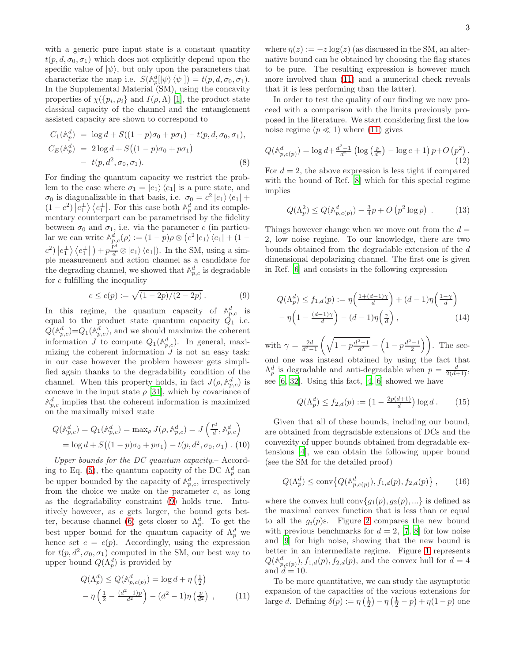with a generic pure input state is a constant quantity  $t(p, d, \sigma_0, \sigma_1)$  which does not explicitly depend upon the specific value of  $|\psi\rangle$ , but only upon the parameters that characterize the map i.e.  $S(\mathbb{A}_p^d[|\psi\rangle\langle\psi|]) = t(p, d, \sigma_0, \sigma_1).$ In the Supplemental Material (SM), using the concavity properties of  $\chi(\lbrace p_i, \rho_i \rbrace)$  and  $I(\rho, \Lambda)$  [1], the product state classical capacity of the channel and the entanglement assisted capacity are shown to correspond to

$$
C_1(\mathbb{A}_p^d) = \log d + S((1-p)\sigma_0 + p\sigma_1) - t(p, d, \sigma_0, \sigma_1),
$$
  
\n
$$
C_E(\mathbb{A}_p^d) = 2\log d + S((1-p)\sigma_0 + p\sigma_1)
$$
  
\n
$$
- t(p, d^2, \sigma_0, \sigma_1).
$$
\n(8)

For finding the quantum capacity we restrict the problem to the case where  $\sigma_1 = |e_1\rangle \langle e_1|$  is a pure state, and  $\sigma_0$  is diagonalizable in that basis, i.e.  $\sigma_0 = c^2 |e_1\rangle \langle e_1| +$  $(1-c^2)\left|e_1^{\perp}\right\rangle\left\langle e_1^{\perp}\right|$ . For this case both  $\mathbb{A}_p^d$  and its complementary counterpart can be parametrised by the fidelity between  $\sigma_0$  and  $\sigma_1$ , i.e. via the parameter c (in particular we can write  $\mathbb{A}_{p,c}^d(\rho) := (1-p)\rho \otimes (c^2 |e_1\rangle \langle e_1| + (1-p)\rho \otimes (c^2 |e_2\rangle \langle e_2|)$  $\langle c^2 \rangle |e_1^{\perp} \rangle \langle e_1^{\perp} |$  +  $p \frac{I^d}{d} \otimes |e_1 \rangle \langle e_1 |$ . In the SM, using a simple measurement and action channel as a candidate for the degrading channel, we showed that  $\mathbb{A}_{p,c}^d$  is degradable for  $c$  fulfilling the inequality

<span id="page-2-0"></span>
$$
c \le c(p) := \sqrt{(1 - 2p)/(2 - 2p)}.
$$
 (9)

In this regime, the quantum capacity of  $\mathbb{A}_{p,c}^d$  is equal to the product state quantum capacity  $Q_1$  i.e.  $Q(\mathbb{A}_{p,c}^d) = Q_1(\mathbb{A}_{p,c}^d)$ , and we should maximize the coherent information  $J$  to compute  $Q_1(\mathbb{A}_{p,c}^d)$ . In general, maximizing the coherent information  $J$  is not an easy task: in our case however the problem however gets simplified again thanks to the degradability condition of the channel. When this property holds, in fact  $J(\rho, \mathcal{N}_{p,c}^d)$  is concave in the input state  $\rho$  [31], which by covariance of  $\mathbb{A}_{p,c}^d$  implies that the coherent information is maximized on the maximally mixed state

<span id="page-2-5"></span>
$$
Q(\mathbb{A}_{p,c}^d) = Q_1(\mathbb{A}_{p,c}^d) = \max_{\rho} J(\rho, \mathbb{A}_{p,c}^d) = J\left(\frac{I^d}{d}, \mathbb{A}_{p,c}^d\right)
$$
  
= log d + S((1 - p)\sigma\_0 + p\sigma\_1) - t(p, d^2, \sigma\_0, \sigma\_1). (10)

Upper bounds for the DC quantum capacity.– Accord-ing to Eq. [\(5\)](#page-1-2), the quantum capacity of the DC  $\Lambda_p^d$  can be upper bounded by the capacity of  $\mathbb{A}_{p,c}^d$ , irrespectively from the choice we make on the parameter  $c$ , as long as the degradability constraint [\(9\)](#page-2-0) holds true. Intuitively however, as c gets larger, the bound gets bet-ter, because channel [\(6\)](#page-1-1) gets closer to  $\Lambda_p^d$ . To get the best upper bound for the quantum capacity of  $\Lambda_p^d$  we hence set  $c = c(p)$ . Accordingly, using the expression for  $t(p, d^2, \sigma_0, \sigma_1)$  computed in the SM, our best way to upper bound  $Q(\Lambda_p^d)$  is provided by

$$
Q(\Lambda_p^d) \le Q(\Lambda_{p,c(p)}^d) = \log d + \eta \left(\frac{1}{2}\right)
$$

$$
-\eta \left(\frac{1}{2} - \frac{(d^2 - 1)p}{d^2}\right) - (d^2 - 1)\eta \left(\frac{p}{d^2}\right) ,\qquad(11)
$$

where  $\eta(z) := -z \log(z)$  (as discussed in the SM, an alternative bound can be obtained by choosing the flag states to be pure. The resulting expression is however much more involved than [\(11\)](#page-2-1) and a numerical check reveals that it is less performing than the latter).

In order to test the quality of our finding we now proceed with a comparison with the limits previously proposed in the literature. We start considering first the low noise regime  $(p \ll 1)$  where [\(11\)](#page-2-1) gives

$$
Q(\mathbb{A}_{p,c(p)}^d) = \log d + \frac{d^2 - 1}{d^2} \left( \log \left( \frac{p}{d^2} \right) - \log e + 1 \right) p + O\left( p^2 \right). \tag{12}
$$

For  $d = 2$ , the above expression is less tight if compared with the bound of Ref. [\[8\]](#page-4-7) which for this special regime implies

$$
Q(\Lambda_p^2) \le Q(\mathbb{A}_{p,c(p)}^d) - \frac{3}{4}p + O\left(p^2 \log p\right) . \tag{13}
$$

Things however change when we move out from the  $d =$ 2, low noise regime. To our knowledge, there are two bounds obtained from the degradable extension of the d dimensional depolarizing channel. The first one is given in Ref. [6] and consists in the following expression

<span id="page-2-2"></span>
$$
Q(\Lambda_p^d) \le f_{1,d}(p) := \eta \left( \frac{1 + (d-1)\gamma}{d} \right) + (d-1)\eta \left( \frac{1-\gamma}{d} \right)
$$

$$
- \eta \left( 1 - \frac{(d-1)\gamma}{d} \right) - (d-1)\eta \left( \frac{\gamma}{d} \right), \qquad (14)
$$

with  $\gamma = \frac{2d}{d^2-1} \left( \sqrt{1-p\frac{d^2-1}{d^2}} - \left(1-p\frac{d^2-1}{2}\right) \right)$ . The second one was instead obtained by using the fact that  $\Lambda_p^d$  is degradable and anti-degradable when  $p = \frac{d}{2(d+1)}$ , see  $[6, 32]$  $[6, 32]$ . Using this fact,  $[4, 6]$  showed we have

<span id="page-2-3"></span>
$$
Q(\Lambda_p^d) \le f_{2,d}(p) := \left(1 - \frac{2p(d+1)}{d}\right) \log d. \tag{15}
$$

Given that all of these bounds, including our bound, are obtained from degradable extensions of DCs and the convexity of upper bounds obtained from degradable extensions [4], we can obtain the following upper bound (see the SM for the detailed proof)

<span id="page-2-4"></span>
$$
Q(\Lambda_p^d) \le \text{conv}\{Q(\mathbb{A}_{p,c(p)}^d), f_{1,d}(p), f_{2,d}(p)\},\qquad(16)
$$

where the convex hull conv $\{g_1(p), g_2(p), ...\}$  is defined as the maximal convex function that is less than or equal to all the  $g_i(p)$ s. Figure [2](#page-3-3) compares the new bound with previous benchmarks for  $d = 2$ , [7, [8\]](#page-4-7) for low noise and [\[9](#page-4-6)] for high noise, showing that the new bound is better in an intermediate regime. Figure [1](#page-3-4) represents  $Q(\mathbb{A}_{p,c(p)}^d)$ ,  $f_{1,d}(p)$ ,  $f_{2,d}(p)$ , and the convex hull for  $d=4$ and  $d = 10$ .

<span id="page-2-1"></span>To be more quantitative, we can study the asymptotic expansion of the capacities of the various extensions for large d. Defining  $\delta(p) := \eta \left(\frac{1}{2}\right) - \eta \left(\frac{1}{2} - p\right) + \eta(1 - p)$  one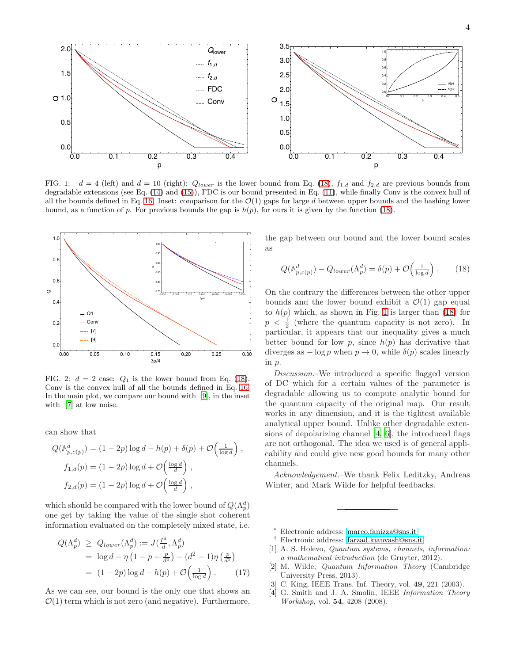

<span id="page-3-4"></span>FIG. 1:  $d = 4$  (left) and  $d = 10$  (right):  $Q_{lower}$  is the lower bound from Eq. [\(18\)](#page-3-5),  $f_{1,d}$  and  $f_{2,d}$  are previous bounds from degradable extensions (see Eq. [\(14\)](#page-2-2) and [\(15\)](#page-2-3)), FDC is our bound presented in Eq. [\(11\)](#page-2-1), while finally Conv is the convex hull of all the bounds defined in Eq. [16.](#page-2-4) Inset: comparison for the  $\mathcal{O}(1)$  gaps for large d between upper bounds and the hashing lower bound, as a function of p. For previous bounds the gap is  $h(p)$ , for ours it is given by the function [\(18\)](#page-3-5).



<span id="page-3-3"></span>FIG. 2:  $d = 2$  case:  $Q_1$  is the lower bound from Eq. [\(18\)](#page-3-5), Conv is the convex hull of all the bounds defined in Eq. [16.](#page-2-4) In the main plot, we compare our bound with [\[9\]](#page-4-6), in the inset with [7] at low noise.

can show that

$$
Q(\mathbb{A}_{p,c(p)}^d) = (1 - 2p) \log d - h(p) + \delta(p) + \mathcal{O}\left(\frac{1}{\log d}\right),
$$
  

$$
f_{1,d}(p) = (1 - 2p) \log d + \mathcal{O}\left(\frac{\log d}{d}\right),
$$
  

$$
f_{2,d}(p) = (1 - 2p) \log d + \mathcal{O}\left(\frac{\log d}{d}\right),
$$

which should be compared with the lower bound of  $Q(\Lambda_p^d)$ one get by taking the value of the single shot coherent information evaluated on the completely mixed state, i.e.

$$
Q(\Lambda_p^d) \ge Q_{lower}(\Lambda_p^d) := J(\frac{I^d}{d}, \Lambda_p^d)
$$
  
=  $\log d - \eta \left(1 - p + \frac{p}{d^2}\right) - (d^2 - 1)\eta \left(\frac{p}{d^2}\right)$   
=  $(1 - 2p) \log d - h(p) + \mathcal{O}\left(\frac{1}{\log d}\right)$ . (17)

As we can see, our bound is the only one that shows an  $\mathcal{O}(1)$  term which is not zero (and negative). Furthermore, the gap between our bound and the lower bound scales as

<span id="page-3-5"></span>
$$
Q(\mathbb{A}_{p,c(p)}^d) - Q_{lower}(\Lambda_p^d) = \delta(p) + \mathcal{O}\left(\frac{1}{\log d}\right). \tag{18}
$$

On the contrary the differences between the other upper bounds and the lower bound exhibit a  $\mathcal{O}(1)$  gap equal to  $h(p)$  which, as shown in Fig. [1](#page-3-4) is larger than [\(18\)](#page-3-5) for  $p < \frac{1}{2}$  (where the quantum capacity is not zero). In particular, it appears that our inequality gives a much better bound for low p, since  $h(p)$  has derivative that diverges as  $-\log p$  when  $p \to 0$ , while  $\delta(p)$  scales linearly in p.

Discussion.–We introduced a specific flagged version of DC which for a certain values of the parameter is degradable allowing us to compute analytic bound for the quantum capacity of the original map. Our result works in any dimension, and it is the tightest available analytical upper bound. Unlike other degradable extensions of depolarizing channel [4, 6], the introduced flags are not orthogonal. The idea we used is of general applicability and could give new good bounds for many other channels.

Acknowledgement.–We thank Felix Leditzky, Andreas Winter, and Mark Wilde for helpful feedbacks.

- <span id="page-3-0"></span>† Electronic address: [farzad.kianvash@sns.it](mailto:farzad.kianvash@sns.it)
- <span id="page-3-1"></span>[1] A. S. Holevo, *Quantum systems, channels, information: a mathematical introduction* (de Gruyter, 2012).
- [2] M. Wilde, *Quantum Information Theory* (Cambridge University Press, 2013).
- <span id="page-3-2"></span>[3] C. King, IEEE Trans. Inf. Theory, vol. 49, 221 (2003).
- [4] G. Smith and J. A. Smolin, IEEE *Information Theory Workshop*, vol. 54, 4208 (2008).

<sup>∗</sup> Electronic address: [marco.fanizza@sns.it](mailto:marco.fanizza@sns.it)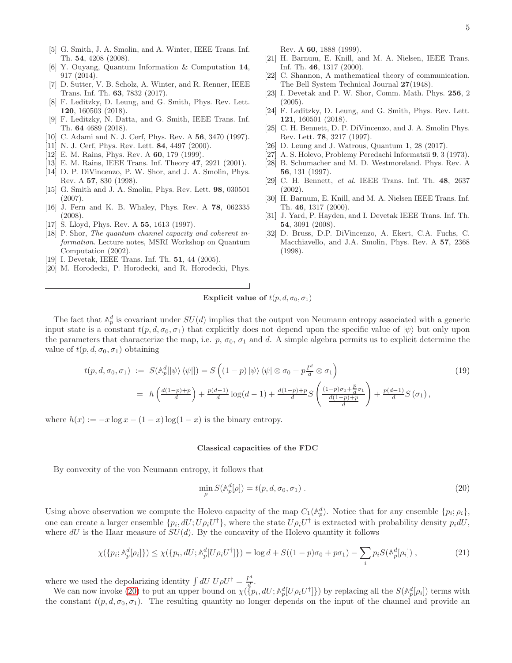- [6] Y. Ouyang, Quantum Information & Computation 14, 917 (2014).
- [7] D. Sutter, V. B. Scholz, A. Winter, and R. Renner, IEEE Trans. Inf. Th. 63, 7832 (2017).
- <span id="page-4-7"></span>[8] F. Leditzky, D. Leung, and G. Smith, Phys. Rev. Lett. 120, 160503 (2018).
- <span id="page-4-6"></span>[9] F. Leditzky, N. Datta, and G. Smith, IEEE Trans. Inf. Th. 64 4689 (2018).
- [10] C. Adami and N. J. Cerf, Phys. Rev. A 56, 3470 (1997).
- [11] N. J. Cerf, Phys. Rev. Lett. **84**, 4497 (2000).
- [12] E. M. Rains, Phys. Rev. A **60**, 179 (1999).
- [13] E. M. Rains, IEEE Trans. Inf. Theory 47, 2921 (2001).
- [14] D. P. DiVincenzo, P. W. Shor, and J. A. Smolin, Phys. Rev. A 57, 830 (1998).
- [15] G. Smith and J. A. Smolin, Phys. Rev. Lett. 98, 030501 (2007).
- <span id="page-4-0"></span>[16] J. Fern and K. B. Whaley, Phys. Rev. A 78, 062335 (2008).
- <span id="page-4-1"></span>[17] S. Lloyd, Phys. Rev. A 55, 1613 (1997).
- [18] P. Shor, *The quantum channel capacity and coherent information*. Lecture notes, MSRI Workshop on Quantum Computation (2002).
- [19] I. Devetak, IEEE Trans. Inf. Th. 51, 44 (2005).
- [20] M. Horodecki, P. Horodecki, and R. Horodecki, Phys.

Rev. A 60, 1888 (1999).

- <span id="page-4-2"></span>[21] H. Barnum, E. Knill, and M. A. Nielsen, IEEE Trans. Inf. Th. 46, 1317 (2000).
- <span id="page-4-3"></span>[22] C. Shannon, A mathematical theory of communication. The Bell System Technical Journal 27(1948).
- <span id="page-4-4"></span>[23] I. Devetak and P. W. Shor, Comm. Math. Phys. 256, 2 (2005).
- <span id="page-4-5"></span>[24] F. Leditzky, D. Leung, and G. Smith, Phys. Rev. Lett. 121, 160501 (2018).
- [25] C. H. Bennett, D. P. DiVincenzo, and J. A. Smolin Phys. Rev. Lett. 78, 3217 (1997).
- [26] D. Leung and J. Watrous, Quantum 1, 28 (2017).
- [27] A. S. Holevo, Problemy Peredachi Informatsii 9, 3 (1973).
- [28] B. Schumacher and M. D. Westmoreland. Phys. Rev. A 56, 131 (1997).
- [29] C. H. Bennett, *et al.* IEEE Trans. Inf. Th. 48, 2637 (2002).
- [30] H. Barnum, E. Knill, and M. A. Nielsen IEEE Trans. Inf. Th. 46, 1317 (2000).
- [31] J. Yard, P. Hayden, and I. Devetak IEEE Trans. Inf. Th. 54, 3091 (2008).
- <span id="page-4-8"></span>[32] D. Bruss, D.P. DiVincenzo, A. Ekert, C.A. Fuchs, C. Macchiavello, and J.A. Smolin, Phys. Rev. A 57, 2368 (1998).

## Explicit value of  $t(p, d, \sigma_0, \sigma_1)$

The fact that  $\wedge_p^d$  is covariant under  $SU(d)$  implies that the output von Neumann entropy associated with a generic input state is a constant  $t(p, d, \sigma_0, \sigma_1)$  that explicitly does not depend upon the specific value of  $|\psi\rangle$  but only upon the parameters that characterize the map, i.e. p,  $\sigma_0$ ,  $\sigma_1$  and d. A simple algebra permits us to explicit determine the value of  $t(p, d, \sigma_0, \sigma_1)$  obtaining

$$
t(p, d, \sigma_0, \sigma_1) := S(\mathbb{A}_p^d[|\psi\rangle \langle \psi|]) = S\left((1-p)|\psi\rangle \langle \psi| \otimes \sigma_0 + p\frac{I^d}{d} \otimes \sigma_1\right)
$$
  

$$
= h\left(\frac{d(1-p)+p}{d}\right) + \frac{p(d-1)}{d}\log(d-1) + \frac{d(1-p)+p}{d}S\left(\frac{(1-p)\sigma_0 + \frac{p}{d}\sigma_1}{d}\right) + \frac{p(d-1)}{d}S(\sigma_1),
$$
 (19)

where  $h(x) := -x \log x - (1-x) \log(1-x)$  is the binary entropy.

#### Classical capacities of the FDC

By convexity of the von Neumann entropy, it follows that

<span id="page-4-9"></span>
$$
\min_{\rho} S(\mathbb{A}_p^d[\rho]) = t(p, d, \sigma_0, \sigma_1). \tag{20}
$$

Using above observation we compute the Holevo capacity of the map  $C_1(\mathbb{A}_p^d)$ . Notice that for any ensemble  $\{p_i; \rho_i\}$ , one can create a larger ensemble  $\{p_i, dU; U \rho_i U^{\dagger}\}$ , where the state  $U \rho_i U^{\dagger}$  is extracted with probability density  $p_i dU$ , where  $dU$  is the Haar measure of  $SU(d)$ . By the concavity of the Holevo quantity it follows

$$
\chi(\{p_i; \mathbb{A}_p^d[\rho_i]\}) \le \chi(\{p_i, dU; \mathbb{A}_p^d[U\rho_i U^\dagger]\}) = \log d + S((1-p)\sigma_0 + p\sigma_1) - \sum_i p_i S(\mathbb{A}_p^d[\rho_i])\,,\tag{21}
$$

where we used the depolarizing identity  $\int dU U \rho U^{\dagger} = \frac{I^d}{d\sigma}$  $\frac{d}{d}$ .

We can now invoke [\(20\)](#page-4-9) to put an upper bound on  $\chi(\ell p_i, dU; \mathbb{A}_p^d[U \rho_i U^{\dagger}])$  by replacing all the  $S(\mathbb{A}_p^d[\rho_i])$  terms with the constant  $t(p, d, \sigma_0, \sigma_1)$ . The resulting quantity no longer depends on the input of the channel and provide an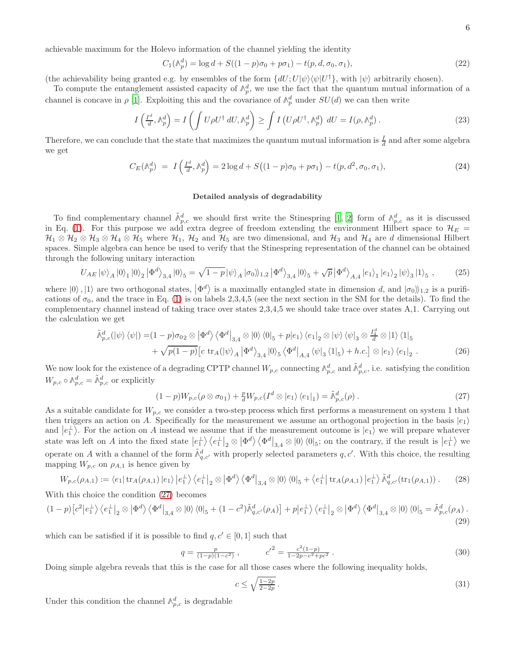achievable maximum for the Holevo information of the channel yielding the identity

$$
C_1(\mathbb{A}_p^d) = \log d + S((1-p)\sigma_0 + p\sigma_1) - t(p, d, \sigma_0, \sigma_1),
$$
\n(22)

(the achievability being granted e.g. by ensembles of the form  $\{dU; U|\psi\rangle\langle\psi|U^{\dagger}\}$ , with  $|\psi\rangle$  arbitrarily chosen).

To compute the entanglement assisted capacity of  $\mathbb{A}_p^d$ , we use the fact that the quantum mutual information of a channel is concave in  $\rho$  [1]. Exploiting this and the covariance of  $\mathbb{A}_p^d$  under  $SU(d)$  we can then write

$$
I\left(\frac{I^d}{d}, \mathbb{A}_p^d\right) = I\left(\int U\rho U^\dagger dU, \mathbb{A}_p^d\right) \ge \int I\left(U\rho U^\dagger, \mathbb{A}_p^d\right) dU = I(\rho, \mathbb{A}_p^d).
$$
\n(23)

Therefore, we can conclude that the state that maximizes the quantum mutual information is  $\frac{I}{d}$  and after some algebra we get

$$
C_E(\mathbb{A}_p^d) = I\left(\frac{I^d}{d}, \mathbb{A}_p^d\right) = 2\log d + S\left((1-p)\sigma_0 + p\sigma_1\right) - t(p, d^2, \sigma_0, \sigma_1),\tag{24}
$$

### Detailed analysis of degradability

To find complementary channel  $\tilde{\mathbb{A}}_{p,c}^d$  we should first write the Stinespring [1, 2] form of  $\mathbb{A}_{p,c}^d$  as it is discussed in Eq. [\(1\)](#page-1-3). For this purpose we add extra degree of freedom extending the environment Hilbert space to  $\mathcal{H}_E$  =  $\mathcal{H}_1 \otimes \mathcal{H}_2 \otimes \mathcal{H}_3 \otimes \mathcal{H}_4 \otimes \mathcal{H}_5$  where  $\mathcal{H}_1$ ,  $\mathcal{H}_2$  and  $\mathcal{H}_5$  are two dimensional, and  $\mathcal{H}_3$  and  $\mathcal{H}_4$  are d dimensional Hilbert spaces. Simple algebra can hence be used to verify that the Stinespring representation of the channel can be obtained through the following unitary interaction

$$
U_{AE} |\psi\rangle_A |0\rangle_1 |0\rangle_2 |\Phi^d\rangle_{3,4} |0\rangle_5 = \sqrt{1-p} |\psi\rangle_A |\sigma_0\rangle_{1,2} |\Phi^d\rangle_{3,4} |0\rangle_5 + \sqrt{p} |\Phi^d\rangle_{A,4} |e_1\rangle_1 |e_1\rangle_2 |\psi\rangle_3 |1\rangle_5 ,\qquad (25)
$$

where  $|0\rangle$ ,  $|1\rangle$  are two orthogonal states,  $|\Phi^d\rangle$  is a maximally entangled state in dimension d, and  $|\sigma_0\rangle_{1,2}$  is a purifications of  $\sigma_0$ , and the trace in Eq. [\(1\)](#page-1-3) is on labels 2,3,4,5 (see the next section in the SM for the details). To find the complementary channel instead of taking trace over states 2,3,4,5 we should take trace over states A,1. Carrying out the calculation we get

$$
\tilde{\mathbb{A}}_{p,c}^{d}(|\psi\rangle\langle\psi|) = (1-p)\sigma_{02} \otimes |\Phi^{d}\rangle\langle\Phi^{d}|_{3,4} \otimes |0\rangle\langle0|_{5} + p|e_{1}\rangle\langle e_{1}|_{2} \otimes |\psi\rangle\langle\psi|_{3} \otimes \frac{I_{4}^{d}}{d} \otimes |1\rangle\langle1|_{5} \n+ \sqrt{p(1-p)} \Big[c \operatorname{tr}_{A}(|\psi\rangle_{A}|\Phi^{d}\rangle_{3,4}|0\rangle_{5}\langle\Phi^{d}|_{A,4}\langle\psi|_{3}\langle1|_{5}\rangle + h.c.\Big] \otimes |e_{1}\rangle\langle e_{1}|_{2}.
$$
\n(26)

We now look for the existence of a degrading CPTP channel  $W_{p,c}$  connecting  $\mathbb{A}_{p,c}^d$  and  $\tilde{\mathbb{A}}_{p,c}^d$ , i.e. satisfying the condition  $W_{p,c} \circ \mathbb{A}_{p,c}^d = \tilde{\mathbb{A}}_{p,c}^d$  or explicitly

<span id="page-5-1"></span><span id="page-5-0"></span>
$$
(1-p)W_{p,c}(\rho\otimes\sigma_{01})+\frac{p}{d}W_{p,c}(I^d\otimes|e_1\rangle\langle e_1|_1)=\tilde{\mathbb{A}}_{p,c}^d(\rho).
$$
\n(27)

As a suitable candidate for  $W_{p,c}$  we consider a two-step process which first performs a measurement on system 1 that then triggers an action on A. Specifically for the measurement we assume an orthogonal projection in the basis  $|e_1\rangle$ and  $|e_1^{\perp}\rangle$ . For the action on A instead we assume that if the measurement outcome is  $|e_1\rangle$  we will prepare whatever state was left on A into the fixed state  $\left|e_{1}^{\perp}\right\rangle\left\langle e_{1}^{\perp}\right|_{2}\otimes\left|\Phi^{d}\right\rangle\left\langle \Phi^{d}\right|_{3,4}\otimes\left|0\right\rangle\left\langle 0\right|_{5}$ ; on the contrary, if the result is  $\left|e_{1}^{\perp}\right\rangle$  we operate on A with a channel of the form  $\tilde{\mathbb{A}}_{q,c'}^d$  with properly selected parameters q, c'. With this choice, the resulting mapping  $W_{p,c}$  on  $\rho_{A,1}$  is hence given by

$$
W_{p,c}(\rho_{A,1}) := \langle e_1 | \operatorname{tr}_A(\rho_{A,1}) | e_1 \rangle | e_1^{\perp} \rangle \langle e_1^{\perp} |_2 \otimes | \Phi^d \rangle \langle \Phi^d |_{3,4} \otimes | 0 \rangle \langle 0 |_5 + \langle e_1^{\perp} | \operatorname{tr}_A(\rho_{A,1}) | e_1^{\perp} \rangle \tilde{\mathbb{A}}_{q,c'}^d(\operatorname{tr}_1(\rho_{A,1})) . \tag{28}
$$

With this choice the condition [\(27\)](#page-5-0) becomes

$$
(1-p)\left[c^2\left|e_1^{\perp}\right\rangle\left\langle e_1^{\perp}\right|_2 \otimes \left|\Phi^d\right\rangle\left\langle\Phi^d\right|_{3,4} \otimes \left|0\right\rangle\left\langle 0\right|_5 + (1-c^2)\tilde{\mathbb{A}}^d_{q,c'}(\rho_A)\right] + p\left|e_1^{\perp}\right\rangle\left\langle e_1^{\perp}\right|_2 \otimes \left|\Phi^d\right\rangle\left\langle\Phi^d\right|_{3,4} \otimes \left|0\right\rangle\left\langle 0\right|_5 = \tilde{\mathbb{A}}^d_{p,c}(\rho_A) \,. \tag{29}
$$

which can be satisfied if it is possible to find  $q, c' \in [0, 1]$  such that

$$
q = \frac{p}{(1-p)(1-c^2)}, \qquad c'^2 = \frac{c^2(1-p)}{1-2p-c^2+pc^2} \,. \tag{30}
$$

Doing simple algebra reveals that this is the case for all those cases where the following inequality holds,

$$
c \le \sqrt{\frac{1-2p}{2-2p}} \tag{31}
$$

Under this condition the channel  $\mathbb{A}_{p,c}^d$  is degradable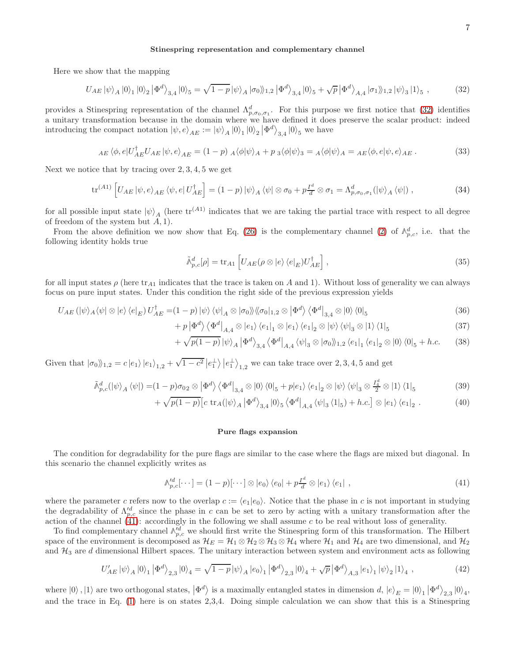### Stinespring representation and complementary channel

Here we show that the mapping

<span id="page-6-0"></span>
$$
U_{AE} |\psi\rangle_A |0\rangle_1 |0\rangle_2 | \Phi^d\rangle_{3,4} |0\rangle_5 = \sqrt{1-p} |\psi\rangle_A |\sigma_0\rangle_{1,2} | \Phi^d\rangle_{3,4} |0\rangle_5 + \sqrt{p} | \Phi^d\rangle_{A,4} | \sigma_1\rangle_{1,2} | \psi\rangle_3 |1\rangle_5 ,\qquad (32)
$$

provides a Stinespring representation of the channel  $\Lambda_{p,\sigma_0,\sigma_1}^d$ . For this purpose we first notice that [\(32\)](#page-6-0) identifies a unitary transformation because in the domain where we have defined it does preserve the scalar product: indeed introducing the compact notation  $|\psi, e\rangle_{AE} := |\psi\rangle_A |0\rangle_1 |0\rangle_2 |\Phi^d\rangle_{3,4} |0\rangle_5$  we have

$$
_{AE} \langle \phi, e | U_{AE}^{\dagger} U_{AE} | \psi, e \rangle_{AE} = (1 - p) \, A \langle \phi | \psi \rangle_{A} + p \, \, \, \langle \phi | \psi \rangle_{3} = A \langle \phi | \psi \rangle_{A} =_{AE} \langle \phi, e | \psi, e \rangle_{AE} \,. \tag{33}
$$

Next we notice that by tracing over  $2, 3, 4, 5$  we get

$$
\operatorname{tr}^{(A1)}\left[U_{AE}\left|\psi,e\right\rangle_{AE}\left\langle\psi,e\right|U_{AE}^{\dagger}\right] = (1-p)\left|\psi\right\rangle_A\left\langle\psi\right|\otimes\sigma_0 + p\frac{I^d}{d}\otimes\sigma_1 = \Lambda_{p,\sigma_0,\sigma_1}^d(\left|\psi\right\rangle_A\left\langle\psi\right|)\,,\tag{34}
$$

for all possible input state  $|\psi\rangle_A$  (here  $\text{tr}^{(A1)}$  indicates that we are taking the partial trace with respect to all degree of freedom of the system but  $A$ , 1).

From the above definition we now show that Eq. [\(26\)](#page-5-1) is the complementary channel [\(2\)](#page-1-4) of  $\mathbb{A}_{p,c}^d$ , i.e. that the following identity holds true

$$
\tilde{\mathbb{A}}_{p,c}^d[\rho] = \text{tr}_{A1} \left[ U_{AE}(\rho \otimes |e\rangle \langle e|_E) U_{AE}^\dagger \right],\tag{35}
$$

for all input states  $\rho$  (here tr<sub>A1</sub> indicates that the trace is taken on A and 1). Without loss of generality we can always focus on pure input states. Under this condition the right side of the previous expression yields

$$
U_{AE} \left( |\psi\rangle_A \langle \psi| \otimes |e\rangle \langle e|_E \right) U_{AE}^\dagger = (1 - p) |\psi\rangle \langle \psi|_A \otimes |\sigma_0\rangle \langle |\sigma_0|_{1,2} \otimes |\Phi^d\rangle \langle \Phi^d|_{3,4} \otimes |0\rangle \langle 0|_5 \tag{36}
$$

$$
+ p \left| \Phi^d \right\rangle \left\langle \Phi^d \right|_{A,4} \otimes \left| e_1 \right\rangle \left\langle e_1 \right|_1 \otimes \left| e_1 \right\rangle \left\langle e_1 \right|_2 \otimes \left| \psi \right\rangle \left\langle \psi \right|_3 \otimes \left| 1 \right\rangle \left\langle 1 \right|_5 \tag{37}
$$

$$
+\sqrt{p(1-p)}\left|\psi\right\rangle_A\left|\Phi^d\right\rangle_{3,4}\left\langle\Phi^d\right|_{A,4}\left\langle\psi\right|_3\otimes\left|\sigma_0\right\rangle_{1,2}\left\langle e_1\right|_1\left\langle e_1\right|_2\otimes\left|0\right\rangle\left\langle 0\right|_5+h.c.\tag{38}
$$

Given that  $|\sigma_0\rangle\!\rangle_{1,2} = c |e_1\rangle |e_1\rangle_{1,2} + \sqrt{1-c^2} |e_1|\rangle |e_1|\rangle_{1,2}$  we can take trace over 2, 3, 4, 5 and get

$$
\tilde{\mathbb{A}}_{p,c}^{d}(|\psi\rangle_{A}\langle\psi|) = (1-p)\sigma_{02} \otimes |\Phi^{d}\rangle \langle\Phi^{d}|_{3,4} \otimes |0\rangle \langle0|_{5} + p|e_{1}\rangle \langle e_{1}|_{2} \otimes |\psi\rangle \langle\psi|_{3} \otimes \frac{I_{4}^{d}}{2} \otimes |1\rangle \langle1|_{5}
$$
\n(39)

$$
+\sqrt{p(1-p)}\left[c\,\operatorname{tr}_A(|\psi\rangle_A|\Phi^d\rangle_{3,4}|0\rangle_5\left\langle\Phi^d\right|_{A,4}\left\langle\psi|_3\left\langle1\right|_5\right\rangle+h.c.\right]\otimes|e_1\rangle\left\langle e_1\right|_2.\tag{40}
$$

### Pure flags expansion

The condition for degradability for the pure flags are similar to the case where the flags are mixed but diagonal. In this scenario the channel explicitly writes as

<span id="page-6-1"></span>
$$
\mathcal{N}_{p,c}^{\prime d}[\cdots] = (1-p)[\cdots] \otimes |e_0\rangle \langle e_0| + p\frac{I^d}{d} \otimes |e_1\rangle \langle e_1| \tag{41}
$$

where the parameter c refers now to the overlap  $c := \langle e_1 | e_0 \rangle$ . Notice that the phase in c is not important in studying the degradability of  $\Lambda_{p,c}^{\prime d}$  since the phase in c can be set to zero by acting with a unitary transformation after the action of the channel [\(41\)](#page-6-1): accordingly in the following we shall assume c to be real without loss of generality.

To find complementary channel  $\mathbb{A}_{p,c}^{d}$  we should first write the Stinespring form of this transformation. The Hilbert space of the environment is decomposed as  $\mathcal{H}_E = \mathcal{H}_1 \otimes \mathcal{H}_2 \otimes \mathcal{H}_3 \otimes \mathcal{H}_4$  where  $\mathcal{H}_1$  and  $\mathcal{H}_4$  are two dimensional, and  $\mathcal{H}_2$ and  $H_3$  are  $d$  dimensional Hilbert spaces. The unitary interaction between system and environment acts as following

$$
U'_{AE} |\psi\rangle_A |0\rangle_1 |\Phi^d\rangle_{2,3} |0\rangle_4 = \sqrt{1-p} |\psi\rangle_A |e_0\rangle_1 |\Phi^d\rangle_{2,3} |0\rangle_4 + \sqrt{p} |\Phi^d\rangle_{A,3} |e_1\rangle_1 |\psi\rangle_2 |1\rangle_4 , \qquad (42)
$$

where  $|0\rangle$ ,  $|1\rangle$  are two orthogonal states,  $|\Phi^d\rangle$  is a maximally entangled states in dimension d,  $|e\rangle_E = |0\rangle_1 |\Phi^d\rangle_{2,3} |0\rangle_4$ , and the trace in Eq. [\(1\)](#page-1-3) here is on states 2,3,4. Doing simple calculation we can show that this is a Stinespring